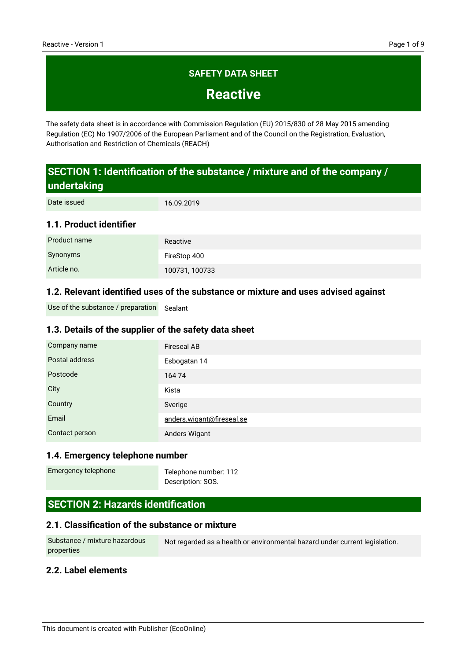# **SAFETY DATA SHEET**

**Reactive**

The safety data sheet is in accordance with Commission Regulation (EU) 2015/830 of 28 May 2015 amending Regulation (EC) No 1907/2006 of the European Parliament and of the Council on the Registration, Evaluation, Authorisation and Restriction of Chemicals (REACH)

# **SECTION 1: Identification of the substance / mixture and of the company / undertaking**

16.09.2019 Date issued

### **1.1. Product identifier**

| Product name | Reactive       |
|--------------|----------------|
| Synonyms     | FireStop 400   |
| Article no.  | 100731, 100733 |

### **1.2. Relevant identified uses of the substance or mixture and uses advised against**

Use of the substance / preparation Sealant

### **1.3. Details of the supplier of the safety data sheet**

| Company name   | <b>Fireseal AB</b>        |
|----------------|---------------------------|
| Postal address | Esbogatan 14              |
| Postcode       | 16474                     |
| City           | Kista                     |
| Country        | Sverige                   |
| Email          | anders.wigant@fireseal.se |
| Contact person | Anders Wigant             |

### **1.4. Emergency telephone number**

Emergency telephone

Telephone number: 112 Description: SOS.

# **SECTION 2: Hazards identification**

#### **2.1. Classification of the substance or mixture**

Not regarded as a health or environmental hazard under current legislation. Substance / mixture hazardous properties

### **2.2. Label elements**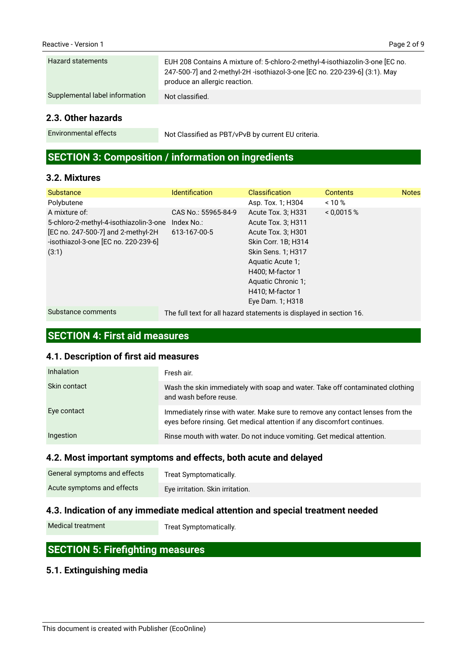### **2.3. Other hazards**

Environmental effects

Not Classified as PBT/vPvB by current EU criteria.

# **SECTION 3: Composition / information on ingredients**

### **3.2. Mixtures**

| <b>Substance</b>                                                                                                                               | <b>Identification</b>                                               | <b>Classification</b>                                                                                                                               | <b>Contents</b> | <b>Notes</b> |
|------------------------------------------------------------------------------------------------------------------------------------------------|---------------------------------------------------------------------|-----------------------------------------------------------------------------------------------------------------------------------------------------|-----------------|--------------|
| Polybutene                                                                                                                                     |                                                                     | Asp. Tox. 1; H304                                                                                                                                   | ~10%            |              |
| A mixture of:<br>5-chloro-2-methyl-4-isothiazolin-3-one<br>[EC no. 247-500-7] and 2-methyl-2H<br>-isothiazol-3-one [EC no. 220-239-6]<br>(3:1) | CAS No.: 55965-84-9<br>Index No.:<br>613-167-00-5                   | Acute Tox. 3; H331<br>Acute Tox. 3; H311<br>Acute Tox. 3; H301<br>Skin Corr. 1B; H314<br>Skin Sens. 1; H317<br>Aquatic Acute 1;<br>H400; M-factor 1 | < 0.0015 %      |              |
|                                                                                                                                                |                                                                     | Aquatic Chronic 1:                                                                                                                                  |                 |              |
|                                                                                                                                                |                                                                     | H410; M-factor 1                                                                                                                                    |                 |              |
|                                                                                                                                                |                                                                     | Eye Dam. 1; H318                                                                                                                                    |                 |              |
| Substance comments                                                                                                                             | The full text for all hazard statements is displayed in section 16. |                                                                                                                                                     |                 |              |

# **SECTION 4: First aid measures**

### **4.1. Description of first aid measures**

| <b>Inhalation</b> | Fresh air.                                                                                                                                               |
|-------------------|----------------------------------------------------------------------------------------------------------------------------------------------------------|
| Skin contact      | Wash the skin immediately with soap and water. Take off contaminated clothing<br>and wash before reuse.                                                  |
| Eye contact       | Immediately rinse with water. Make sure to remove any contact lenses from the<br>eyes before rinsing. Get medical attention if any discomfort continues. |
| Ingestion         | Rinse mouth with water. Do not induce vomiting. Get medical attention.                                                                                   |

### **4.2. Most important symptoms and effects, both acute and delayed**

| General symptoms and effects | Treat Symptomatically.           |
|------------------------------|----------------------------------|
| Acute symptoms and effects   | Eye irritation. Skin irritation. |

# **4.3. Indication of any immediate medical attention and special treatment needed**

Medical treatment

Treat Symptomatically.

# **SECTION 5: Firefighting measures**

# **5.1. Extinguishing media**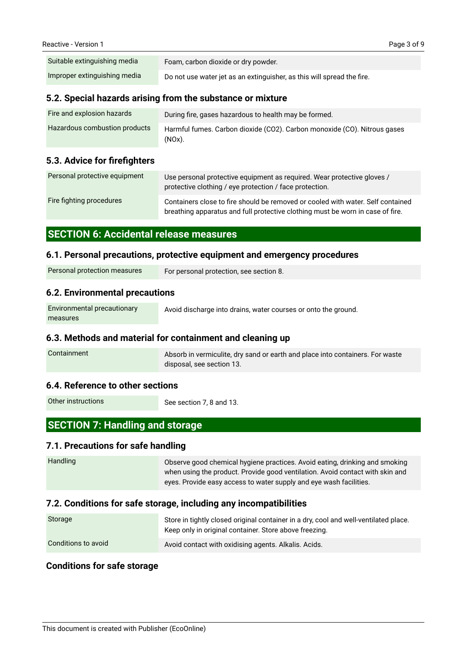| Suitable extinguishing media | Foam, carbon dioxide or dry powder.                                    |
|------------------------------|------------------------------------------------------------------------|
| Improper extinguishing media | Do not use water jet as an extinguisher, as this will spread the fire. |

### **5.2. Special hazards arising from the substance or mixture**

| Fire and explosion hazards    | During fire, gases hazardous to health may be formed.                                 |
|-------------------------------|---------------------------------------------------------------------------------------|
| Hazardous combustion products | Harmful fumes. Carbon dioxide (CO2). Carbon monoxide (CO). Nitrous gases<br>$(NOx)$ . |

### **5.3. Advice for firefighters**

| Personal protective equipment | Use personal protective equipment as required. Wear protective gloves /<br>protective clothing / eye protection / face protection.                                |
|-------------------------------|-------------------------------------------------------------------------------------------------------------------------------------------------------------------|
| Fire fighting procedures      | Containers close to fire should be removed or cooled with water. Self contained<br>breathing apparatus and full protective clothing must be worn in case of fire. |

### **SECTION 6: Accidental release measures**

#### **6.1. Personal precautions, protective equipment and emergency procedures**

| Personal protection measures | For personal protection, see section 8. |
|------------------------------|-----------------------------------------|
|                              |                                         |

### **6.2. Environmental precautions**

| Environmental precautionary | Avoid discharge into drains, water courses or onto the ground. |
|-----------------------------|----------------------------------------------------------------|
| measures                    |                                                                |

### **6.3. Methods and material for containment and cleaning up**

| Containment | Absorb in vermiculite, dry sand or earth and place into containers. For waste |
|-------------|-------------------------------------------------------------------------------|
|             | disposal, see section 13.                                                     |

#### **6.4. Reference to other sections**

Other instructions

See section 7, 8 and 13.

# **SECTION 7: Handling and storage**

### **7.1. Precautions for safe handling**

| Handling | Observe good chemical hygiene practices. Avoid eating, drinking and smoking   |
|----------|-------------------------------------------------------------------------------|
|          | when using the product. Provide good ventilation. Avoid contact with skin and |
|          | eyes. Provide easy access to water supply and eye wash facilities.            |

### **7.2. Conditions for safe storage, including any incompatibilities**

| Storage             | Store in tightly closed original container in a dry, cool and well-ventilated place.<br>Keep only in original container. Store above freezing. |
|---------------------|------------------------------------------------------------------------------------------------------------------------------------------------|
| Conditions to avoid | Avoid contact with oxidising agents. Alkalis. Acids.                                                                                           |

### **Conditions for safe storage**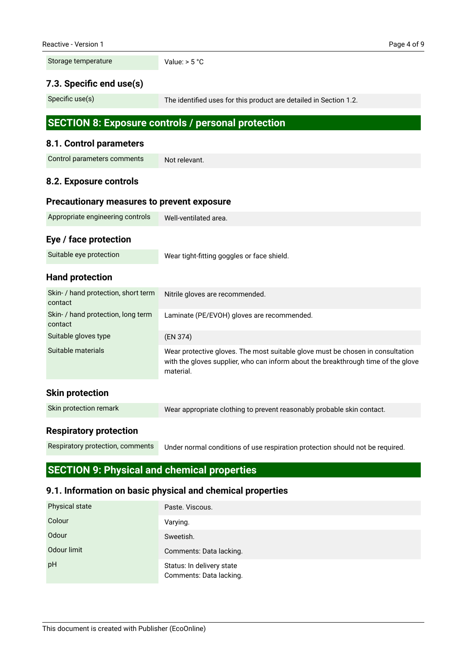Storage temperature

Value:  $> 5 °C$ 

### **7.3. Specific end use(s)**

Specific use(s)

The identified uses for this product are detailed in Section 1.2.

# **SECTION 8: Exposure controls / personal protection**

### **8.1. Control parameters**

| <b>Control parameters comments</b> | Not relevant. |
|------------------------------------|---------------|
|                                    |               |

# **8.2. Exposure controls**

### **Precautionary measures to prevent exposure**

| Appropriate engineering controls | Well-ventilated area. |
|----------------------------------|-----------------------|
|                                  |                       |

# **Eye / face protection**

# **Hand protection**

| Skin- / hand protection, short term<br>contact | Nitrile gloves are recommended.                                                                                                                                                  |
|------------------------------------------------|----------------------------------------------------------------------------------------------------------------------------------------------------------------------------------|
| Skin- / hand protection, long term<br>contact  | Laminate (PE/EVOH) gloves are recommended.                                                                                                                                       |
| Suitable gloves type                           | (EN 374)                                                                                                                                                                         |
| Suitable materials                             | Wear protective gloves. The most suitable glove must be chosen in consultation<br>with the gloves supplier, who can inform about the breakthrough time of the glove<br>material. |
| <b>Skin protection</b>                         |                                                                                                                                                                                  |
| Skin protection remark                         | Wear appropriate clothing to prevent reasonably probable skin contact.                                                                                                           |

### **Respiratory protection**

Respiratory protection, comments

Under normal conditions of use respiration protection should not be required.

# **SECTION 9: Physical and chemical properties**

### **9.1. Information on basic physical and chemical properties**

| <b>Physical state</b> | Paste. Viscous.                                      |
|-----------------------|------------------------------------------------------|
| Colour                | Varying.                                             |
| Odour                 | Sweetish.                                            |
| Odour limit           | Comments: Data lacking.                              |
| pH                    | Status: In delivery state<br>Comments: Data lacking. |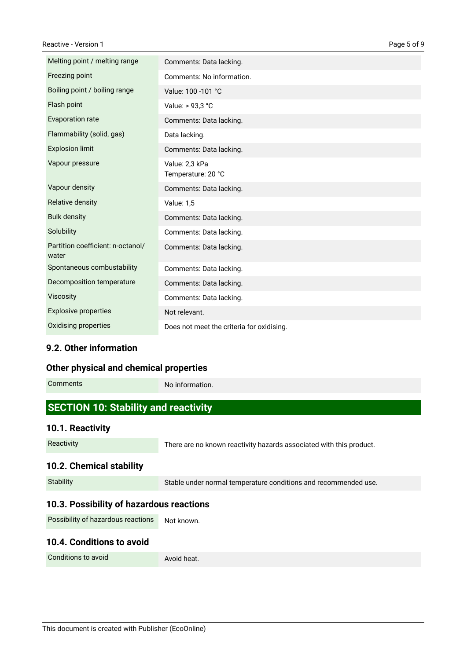| Melting point / melting range              | Comments: Data lacking.                   |
|--------------------------------------------|-------------------------------------------|
| Freezing point                             | Comments: No information.                 |
| Boiling point / boiling range              | Value: 100 -101 °C                        |
| Flash point                                | Value: > 93,3 °C                          |
| Evaporation rate                           | Comments: Data lacking.                   |
| Flammability (solid, gas)                  | Data lacking.                             |
| <b>Explosion limit</b>                     | Comments: Data lacking.                   |
| Vapour pressure                            | Value: 2,3 kPa<br>Temperature: 20 °C      |
| Vapour density                             | Comments: Data lacking.                   |
| Relative density                           | <b>Value: 1,5</b>                         |
| <b>Bulk density</b>                        | Comments: Data lacking.                   |
| Solubility                                 | Comments: Data lacking.                   |
| Partition coefficient: n-octanol/<br>water | Comments: Data lacking.                   |
| Spontaneous combustability                 | Comments: Data lacking.                   |
| Decomposition temperature                  | Comments: Data lacking.                   |
| <b>Viscosity</b>                           | Comments: Data lacking.                   |
| <b>Explosive properties</b>                | Not relevant.                             |
| Oxidising properties                       | Does not meet the criteria for oxidising. |

### **9.2. Other information**

### **Other physical and chemical properties**

Comments

No information.

# **SECTION 10: Stability and reactivity**

### **10.1. Reactivity**

Reactivity

There are no known reactivity hazards associated with this product.

### **10.2. Chemical stability**

| <b>Stability</b> | Stable under normal temperature conditions and recommended use. |
|------------------|-----------------------------------------------------------------|
|                  |                                                                 |

### **10.3. Possibility of hazardous reactions**

Not known. Possibility of hazardous reactions

### **10.4. Conditions to avoid**

Conditions to avoid

Avoid heat.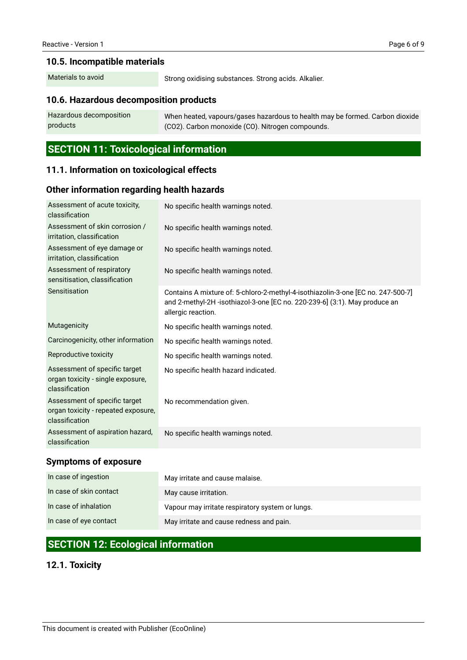### **10.5. Incompatible materials**

Materials to avoid

Strong oxidising substances. Strong acids. Alkalier.

### **10.6. Hazardous decomposition products**

When heated, vapours/gases hazardous to health may be formed. Carbon dioxide (CO2). Carbon monoxide (CO). Nitrogen compounds. Hazardous decomposition products

# **SECTION 11: Toxicological information**

### **11.1. Information on toxicological effects**

#### **Other information regarding health hazards**

| Assessment of acute toxicity,<br>classification                                        | No specific health warnings noted.                                                                                                                                                   |
|----------------------------------------------------------------------------------------|--------------------------------------------------------------------------------------------------------------------------------------------------------------------------------------|
| Assessment of skin corrosion /<br>irritation, classification                           | No specific health warnings noted.                                                                                                                                                   |
| Assessment of eye damage or<br>irritation, classification                              | No specific health warnings noted.                                                                                                                                                   |
| Assessment of respiratory<br>sensitisation, classification                             | No specific health warnings noted.                                                                                                                                                   |
| Sensitisation                                                                          | Contains A mixture of: 5-chloro-2-methyl-4-isothiazolin-3-one [EC no. 247-500-7]<br>and 2-methyl-2H -isothiazol-3-one [EC no. 220-239-6] (3:1). May produce an<br>allergic reaction. |
| Mutagenicity                                                                           | No specific health warnings noted.                                                                                                                                                   |
| Carcinogenicity, other information                                                     | No specific health warnings noted.                                                                                                                                                   |
| Reproductive toxicity                                                                  | No specific health warnings noted.                                                                                                                                                   |
| Assessment of specific target<br>organ toxicity - single exposure,<br>classification   | No specific health hazard indicated.                                                                                                                                                 |
| Assessment of specific target<br>organ toxicity - repeated exposure,<br>classification | No recommendation given.                                                                                                                                                             |
| Assessment of aspiration hazard,<br>classification                                     | No specific health warnings noted.                                                                                                                                                   |

### **Symptoms of exposure**

| In case of ingestion    | May irritate and cause malaise.                  |
|-------------------------|--------------------------------------------------|
| In case of skin contact | May cause irritation.                            |
| In case of inhalation   | Vapour may irritate respiratory system or lungs. |
| In case of eye contact  | May irritate and cause redness and pain.         |

# **SECTION 12: Ecological information**

### **12.1. Toxicity**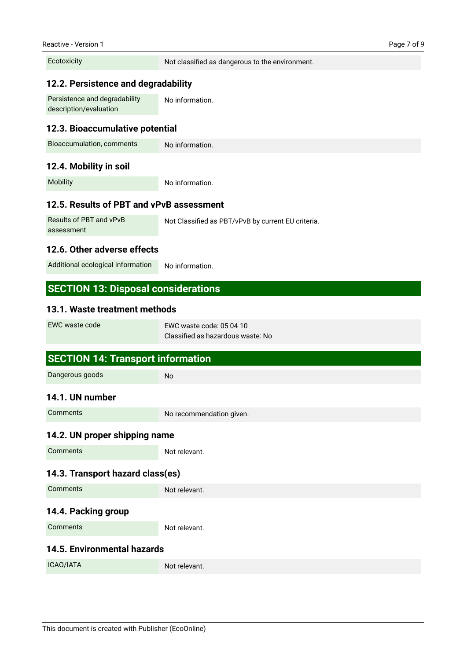**Ecotoxicity** 

Not classified as dangerous to the environment.

### **12.2. Persistence and degradability**

No information. Persistence and degradability description/evaluation

#### **12.3. Bioaccumulative potential**

| No information. |
|-----------------|
|                 |

#### **12.4. Mobility in soil**

Mobility

No information.

### **12.5. Results of PBT and vPvB assessment**

Not Classified as PBT/vPvB by current EU criteria. Results of PBT and vPvB assessment

### **12.6. Other adverse effects**

No information. Additional ecological information

### **SECTION 13: Disposal considerations**

#### **13.1. Waste treatment methods**

| EWC waste code | EWC waste code: 05 04 10          |
|----------------|-----------------------------------|
|                | Classified as hazardous waste: No |

# **SECTION 14: Transport information 14.1. UN number 14.2. UN proper shipping name 14.3. Transport hazard class(es) 14.4. Packing group 14.5. Environmental hazards** No No recommendation given. Not relevant. Not relevant. Not relevant. Not relevant. Dangerous goods **Comments Comments Comments Comments** ICAO/IATA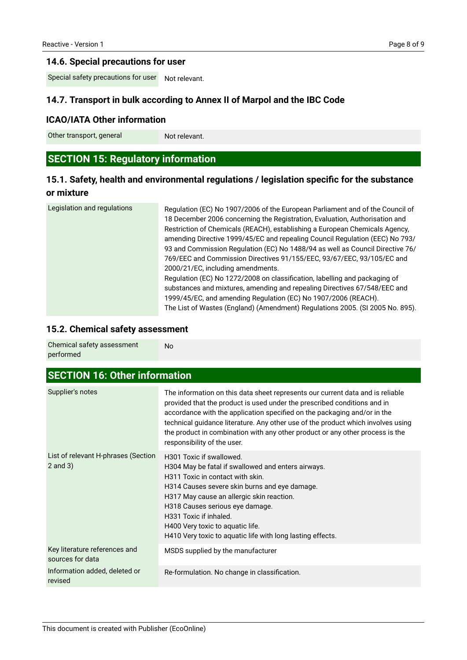### **14.6. Special precautions for user**

Not relevant. Special safety precautions for user

### **14.7. Transport in bulk according to Annex II of Marpol and the IBC Code**

### **ICAO/IATA Other information**

Other transport, general

Not relevant.

# **SECTION 15: Regulatory information**

# **15.1. Safety, health and environmental regulations / legislation specific for the substance or mixture**

| Legislation and regulations | Regulation (EC) No 1907/2006 of the European Parliament and of the Council of<br>18 December 2006 concerning the Registration, Evaluation, Authorisation and<br>Restriction of Chemicals (REACH), establishing a European Chemicals Agency,<br>amending Directive 1999/45/EC and repealing Council Regulation (EEC) No 793/<br>93 and Commission Regulation (EC) No 1488/94 as well as Council Directive 76/<br>769/EEC and Commission Directives 91/155/EEC, 93/67/EEC, 93/105/EC and<br>2000/21/EC, including amendments.<br>Regulation (EC) No 1272/2008 on classification, labelling and packaging of<br>substances and mixtures, amending and repealing Directives 67/548/EEC and<br>1999/45/EC, and amending Regulation (EC) No 1907/2006 (REACH). |
|-----------------------------|----------------------------------------------------------------------------------------------------------------------------------------------------------------------------------------------------------------------------------------------------------------------------------------------------------------------------------------------------------------------------------------------------------------------------------------------------------------------------------------------------------------------------------------------------------------------------------------------------------------------------------------------------------------------------------------------------------------------------------------------------------|
|                             | The List of Wastes (England) (Amendment) Regulations 2005. (SI 2005 No. 895).                                                                                                                                                                                                                                                                                                                                                                                                                                                                                                                                                                                                                                                                            |

### **15.2. Chemical safety assessment**

| Chemical safety assessment | No |
|----------------------------|----|
| performed                  |    |

| <b>SECTION 16: Other information</b>                |                                                                                                                                                                                                                                                                                                                                                                                                                                            |  |  |
|-----------------------------------------------------|--------------------------------------------------------------------------------------------------------------------------------------------------------------------------------------------------------------------------------------------------------------------------------------------------------------------------------------------------------------------------------------------------------------------------------------------|--|--|
| Supplier's notes                                    | The information on this data sheet represents our current data and is reliable<br>provided that the product is used under the prescribed conditions and in<br>accordance with the application specified on the packaging and/or in the<br>technical guidance literature. Any other use of the product which involves using<br>the product in combination with any other product or any other process is the<br>responsibility of the user. |  |  |
| List of relevant H-phrases (Section<br>$2$ and $3)$ | H301 Toxic if swallowed.<br>H304 May be fatal if swallowed and enters airways.<br>H311 Toxic in contact with skin.<br>H314 Causes severe skin burns and eye damage.<br>H317 May cause an allergic skin reaction.<br>H318 Causes serious eye damage.<br>H331 Toxic if inhaled.<br>H400 Very toxic to aquatic life.<br>H410 Very toxic to aquatic life with long lasting effects.                                                            |  |  |
| Key literature references and<br>sources for data   | MSDS supplied by the manufacturer                                                                                                                                                                                                                                                                                                                                                                                                          |  |  |
| Information added, deleted or<br>revised            | Re-formulation. No change in classification.                                                                                                                                                                                                                                                                                                                                                                                               |  |  |